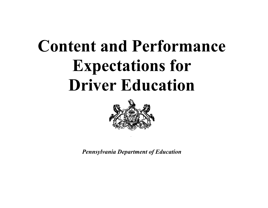

*Pennsylvania Department of Education*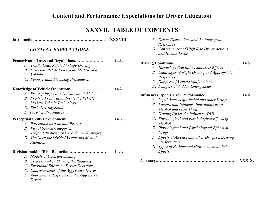#### **XXXVII. TABLE OF CONTENTS**

|                                                                                                                                                                                                                                                           | XXXVIII. |       |
|-----------------------------------------------------------------------------------------------------------------------------------------------------------------------------------------------------------------------------------------------------------|----------|-------|
| <b>CONTENT EXPECTATIONS</b>                                                                                                                                                                                                                               |          |       |
| Pennsylvania Laws and Regulations<br>A. Traffic Laws Related to Safe Driving<br>B. Laws that Relate to Responsible Use of a<br>Vehicle<br>C. Pennsylvania Licensing Procedures                                                                            | 14.1.    | Driv  |
| Knowledge of Vehicle Operations<br>A. Pre-trip Inspection Outside the Vehicle<br>B. Pre-trip Preparation Inside the Vehicle<br>C. Modern Vehicle Technology<br>D. Basic Driving Skills<br>E. Post-trip Procedures                                         | 14.2.    | Inflı |
| A. Perception as a Mental Process<br><b>B.</b> Visual Search Categories<br>C. Traffic Situations and Avoidance Strategies<br>D. The Need for Divided Visual and Mental<br><b>Attention</b>                                                                | 14.3.    |       |
| Decision-making/Risk Reduction<br>A. Models of Decision-making<br>B. Concerns when Sharing the Roadway<br>C. Emotional Effects on Driver Decisions<br>D. Characteristics of the Aggressive Driver<br>E. Appropriate Responses to the Aggressive<br>Driver | 14.4.    | Glos  |

| F. Driver Distractions and the Appropriate |  |  |
|--------------------------------------------|--|--|
| Responses                                  |  |  |
|                                            |  |  |

*G. Consequences of High Risk Driver Actions and Human Error* 

#### **Driving Conditions………………………………………** *A. Hazardous Conditions and their Effects B. Challenges of Night Driving and Appropriate Responses*  **14.5.**

- *C. Dangers of Vehicle Malfunctions*
- *D. Dangers of Sudden Emergencies*

#### **Influences Upon Driver Performance…………………** *A. Legal Aspects of Alcohol and other Drugs*  **14.6.**

- *B. Factors that Influence Individuals to Use Alcohol and other Drugs*
- *C. Driving Under the Influence (DUI)*
- *D. Physiological and Psychological Effects of Alcohol*
- *E. Physiological and Psychological Effects of Drugs*
- *F. Effects of Alcohol and other Drugs on Driving Performance*
- *G. Types of Fatigue and How to Combat their Effects*

|  | XXXIX. |
|--|--------|
|--|--------|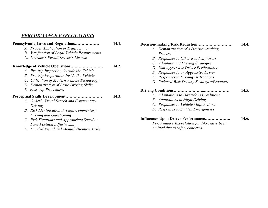#### *PERFORMANCE EXPECTATIONS*

| Pennsylvania Laws and Regulations             | 14.1. |
|-----------------------------------------------|-------|
| A. Proper Application of Traffic Laws         |       |
| B. Verification of Legal Vehicle Requirements |       |
| C. Learner's Permit/Driver's License          |       |
| Knowledge of Vehicle Operations               | 14.2. |
| A. Pre-trip Inspection Outside the Vehicle    |       |
| B. Pre-trip Preparation Inside the Vehicle    |       |
| C. Utilization of Modern Vehicle Technology   |       |
| D. Demonstration of Basic Driving Skills      |       |
| E. Post-trip Procedures                       |       |
| Perceptual Skills Development                 | 14.3. |
| A. Orderly Visual Search and Commentary       |       |
| Driving                                       |       |
| B. Risk Identification through Commentary     |       |
| Driving and Questioning                       |       |
| C. Risk Situations and Appropriate Speed or   |       |
| Lane Position Adjustments                     |       |
| D. Divided Visual and Mental Attention Tasks  |       |

| Decision-making/Risk Reduction               | 14.4. |
|----------------------------------------------|-------|
| A. Demonstration of a Decision-making        |       |
| Process                                      |       |
| <b>B.</b> Responses to Other Roadway Users   |       |
| C. Adaptation of Driving Strategies          |       |
| D. Non-aggressive Driver Performance         |       |
| E. Responses to an Aggressive Driver         |       |
| F. Responses to Driving Distractions         |       |
| G. Reduced-Risk Driving Strategies/Practices |       |
|                                              | 14.5. |
| A. Adaptations to Hazardous Conditions       |       |
| <b>B.</b> Adaptations to Night Driving       |       |
| C. Responses to Vehicle Malfunctions         |       |
| D. Responses to Sudden Emergencies           |       |
| Influences Upon Driver Performance           | 14.6. |
| Performance Expectation for 14.6. have been  |       |
| omitted due to safety concerns.              |       |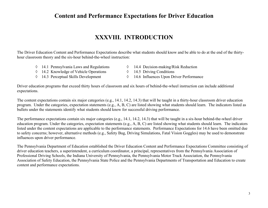#### **XXXVIII. INTRODUCTION**

The Driver Education Content and Performance Expectations describe what students should know and be able to do at the end of the thirtyhour classroom theory and the six-hour behind-the-wheel instruction:

- ◊ 14.1 Pennsylvania Laws and Regulations
- ◊ 14.2 Knowledge of Vehicle Operations
- ◊ 14.3 Perceptual Skills Development
- ◊ 14.4 Decision-making/Risk Reduction
- ◊ 14.5 Driving Conditions
- ◊ 14.6 Influences Upon Driver Performance

Driver education programs that exceed thirty hours of classroom and six hours of behind-the-wheel instruction can include additional expectations.

The content expectations contain six major categories (e.g., 14.1, 14.2, 14.3) that will be taught in a thirty-hour classroom driver education program. Under the categories, expectation statements (e.g., A, B, C) are listed showing what students should learn. The indicators listed as bullets under the statements identify what students should know for successful driving performance.

The performance expectations contain six major categories (e.g., 14.1, 14.2, 14.3) that will be taught in a six-hour behind-the-wheel driver education program. Under the categories, expectation statements (e.g., A, B, C) are listed showing what students should learn. The indicators listed under the content expectations are applicable to the performance statements. Performance Expectations for 14.6 have been omitted due to safety concerns; however, alternative methods (e.g., Safety Bug, Driving Simulations, Fatal Vision Goggles) may be used to demonstrate influences upon driver performance.

The Pennsylvania Department of Education established the Driver Education Content and Performance Expectations Committee consisting of driver education teachers, a superintendent, a curriculum coordinator, a principal, representatives from the Pennsylvania Association of Professional Driving Schools, the Indiana University of Pennsylvania, the Pennsylvania Motor Truck Association, the Pennsylvania Association of Safety Education, the Pennsylvania State Police and the Pennsylvania Departments of Transportation and Education to create content and performance expectations.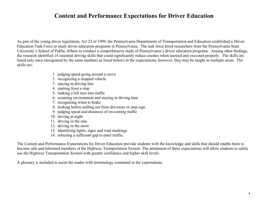As part of the young driver legislation, Act 23 of 1999, the Pennsylvania Departments of Transportation and Education established a Driver Education Task Force to study driver education programs in Pennsylvania. The task force hired researchers from the Pennsylvania State University's School of Public Affairs to conduct a comprehensive study of Pennsylvania's driver education programs. Among other findings, the research identified 14 essential driving skills that could significantly reduce crashes when learned and executed properly. The skills are listed only once (designated by the same numbers as listed below) in the expectations; however, they may be taught in multiple areas. The skills are:

- 1. judging speed going around a curve
- 2. recognizing a stopped vehicle
- 3. staying in driving line
- 4. starting from a stop
- 5. making a left turn into traffic
- 6. scanning environment and staying in driving lane
- 7. recognizing when to brake
- 8. looking before pulling out from driveway or stop sign
- 9. judging speed and distances of on-coming traffic
- 10. driving at night
- 11. driving in the rain
- 12. driving in the snow
- 13. identifying lights, signs and road markings
- 14. selecting a sufficient gap to enter traffic.

The Content and Performance Expectations for Driver Education provide students with the knowledge and skills that should enable them to become safe and informed members of the Highway Transportation System. The attainment of these expectations will allow students to safely use the Highway Transportation System with greater confidence and higher skill levels.

A glossary is included to assist the reader with terminology contained in the expectations.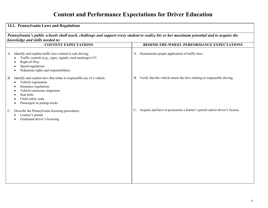| 14.1. Pennsylvania Laws and Regulations                                                                                                                                                                                                              |                                                                                           |  |
|------------------------------------------------------------------------------------------------------------------------------------------------------------------------------------------------------------------------------------------------------|-------------------------------------------------------------------------------------------|--|
| Pennsylvania's public schools shall teach, challenge and support every student to realize his or her maximum potential and to acquire the<br>knowledge and skills needed to:                                                                         |                                                                                           |  |
| <b>CONTENT EXPECTATIONS</b>                                                                                                                                                                                                                          | BEHIND-THE-WHEEL PERFORMANCE EXPECTATIONS                                                 |  |
| A. Identify and explain traffic laws related to safe driving.<br>Traffic controls (e.g., signs, signals, road markings) #13<br>Right-of-Way<br>Speed regulations<br>Pedestrian rights and responsibilities                                           | A. Demonstrate proper application of traffic laws.                                        |  |
| Identify and explain laws that relate to responsible use of a vehicle.<br><b>B.</b><br>Vehicle registration<br>$\bullet$<br>Insurance regulations<br>Vehicle/emissions inspection<br>Seat belts<br>Child safety seats<br>Passengers in pickup trucks | Verify that the vehicle meets the laws relating to responsible driving.<br><b>B.</b>      |  |
| Describe the Pennsylvania licensing procedures.<br>$C_{\cdot}$<br>Learner's permit<br>Graduated driver's licensing                                                                                                                                   | Acquire and have in possession a learner's permit and/or driver's license.<br>$C_{\cdot}$ |  |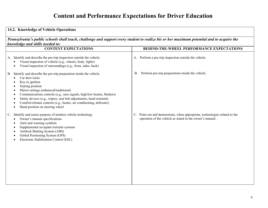| 14.2. Knowledge of Vehicle Operations                                                                                                                                                                                                                                                                                                                                                                                                                                                                                                         |                                                                                                                                          |  |
|-----------------------------------------------------------------------------------------------------------------------------------------------------------------------------------------------------------------------------------------------------------------------------------------------------------------------------------------------------------------------------------------------------------------------------------------------------------------------------------------------------------------------------------------------|------------------------------------------------------------------------------------------------------------------------------------------|--|
| Pennsylvania's public schools shall teach, challenge and support every student to realize his or her maximum potential and to acquire the<br>knowledge and skills needed to:                                                                                                                                                                                                                                                                                                                                                                  |                                                                                                                                          |  |
| <b>CONTENT EXPECTATIONS</b>                                                                                                                                                                                                                                                                                                                                                                                                                                                                                                                   | <b>BEHIND-THE-WHEEL PERFORMANCE EXPECTATIONS</b>                                                                                         |  |
| A. Identify and describe the pre-trip inspection outside the vehicle.<br>Visual inspection of vehicle (e.g., wheels, body, lights)<br>$\bullet$<br>Visual inspection of surroundings (e.g., front, sides, back)<br>$\bullet$                                                                                                                                                                                                                                                                                                                  | A. Perform a pre-trip inspection outside the vehicle.                                                                                    |  |
| B. Identify and describe the pre-trip preparation inside the vehicle.<br>Car door locks<br>$\bullet$<br>Key in ignition<br>$\bullet$<br>Seating position<br>$\bullet$<br>Mirror settings (enhanced/traditional)<br>$\bullet$<br>Communications controls (e.g., turn signals, high/low beams, flashers)<br>$\bullet$<br>Safety devices (e.g., wipers, seat belt adjustments, head restraint)<br>$\bullet$<br>Comfort/climate controls (e.g., heater, air conditioning, defroster)<br>$\bullet$<br>Hand position on steering wheel<br>$\bullet$ | Perform pre-trip preparations inside the vehicle.<br><b>B.</b>                                                                           |  |
| Identify and assess purpose of modern vehicle technology.<br>$C_{\cdot}$<br>Owner's manual specifications<br>$\bullet$<br>Alert and warning symbols<br>$\bullet$<br>Supplemental occupant restraint systems<br>$\bullet$<br>Antilock Braking System (ABS)<br>$\bullet$<br>Global Positioning System (GPS)<br>Electronic Stabilization Control (ESC)<br>$\bullet$                                                                                                                                                                              | C. Point out and demonstrate, when appropriate, technologies related to the<br>operation of the vehicle as stated in the owner's manual. |  |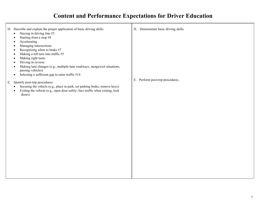| D. Describe and explain the proper application of basic driving skills.<br>Staying in driving line #3<br>$\bullet$<br>Starting from a stop #4<br>Accelerating                                                                                                                                                            | D. Demonstrate basic driving skills. |
|--------------------------------------------------------------------------------------------------------------------------------------------------------------------------------------------------------------------------------------------------------------------------------------------------------------------------|--------------------------------------|
| Managing intersections<br>Recognizing when to brake #7<br>Making a left turn into traffic #5<br>$\bullet$<br>Making right turns<br>$\bullet$<br>Driving in reverse<br>Making lane changes (e.g., multiple-lane roadways, merge/exit situations,                                                                          |                                      |
| passing vehicles)<br>Selecting a sufficient gap to enter traffic #14<br>$\bullet$<br>E. Identify post-trip procedures.<br>Securing the vehicle (e.g., place in park, set parking brake, remove keys)<br>$\bullet$<br>Exiting the vehicle (e.g., open door safely, face traffic when exiting, lock<br>$\bullet$<br>doors) | E. Perform post-trip procedures.     |
|                                                                                                                                                                                                                                                                                                                          |                                      |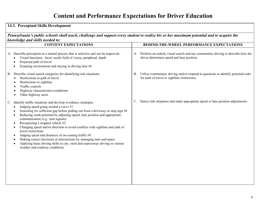| 14.3. Perceptual Skills Development<br>Pennsylvania's public schools shall teach, challenge and support every student to realize his or her maximum potential and to acquire the<br>knowledge and skills needed to:                                                                                                                                                                                                                                                                                                                                                                                                                                                                                                                                                                                                |                                                                                                                                                  |  |
|--------------------------------------------------------------------------------------------------------------------------------------------------------------------------------------------------------------------------------------------------------------------------------------------------------------------------------------------------------------------------------------------------------------------------------------------------------------------------------------------------------------------------------------------------------------------------------------------------------------------------------------------------------------------------------------------------------------------------------------------------------------------------------------------------------------------|--------------------------------------------------------------------------------------------------------------------------------------------------|--|
|                                                                                                                                                                                                                                                                                                                                                                                                                                                                                                                                                                                                                                                                                                                                                                                                                    |                                                                                                                                                  |  |
| A. Describe perception as a mental process that is selective and can be improved.<br>Visual functions: focal, useful field of vision, peripheral, depth<br>$\bullet$<br>Projected path of travel<br>$\bullet$<br>Scanning environment and staying in driving lane #6<br>$\bullet$                                                                                                                                                                                                                                                                                                                                                                                                                                                                                                                                  | Perform an orderly visual search and use commentary driving to describe how the<br>А.<br>driver determines speed and lane position.              |  |
| B. Describe visual search categories for identifying risk situations.<br>Restrictions to path of travel<br>$\bullet$<br>Restrictions to sightline<br>Traffic controls<br>Highway characteristics/conditions<br>Other highway users                                                                                                                                                                                                                                                                                                                                                                                                                                                                                                                                                                                 | Utilize commentary driving and/or respond to questions to identify potential risks<br><b>B.</b><br>for path of travel or sightline restrictions. |  |
| Identify traffic situations and develop avoidance strategies.<br>C.<br>Judging speed going around a curve #1<br>$\bullet$<br>Searching for sufficient gap before pulling out from a driveway or stop sign #8<br>$\bullet$<br>Reducing crash potential by adjusting speed, lane position and appropriate<br>$\bullet$<br>communication (e.g., turn signals)<br>Recognizing a stopped vehicle #2<br>$\bullet$<br>Changing speed and/or direction to avoid conflicts with sightline and path of<br>$\bullet$<br>travel restrictions<br>Judging speed and distances of on-coming traffic #9<br>٠<br>Making correct decisions at intersections by managing time and space<br>$\bullet$<br>Applying basic driving skills to city, rural and expressway driving in various<br>$\bullet$<br>weather and roadway conditions | Detect risk situations and make appropriate speed or lane position adjustments.<br>C.                                                            |  |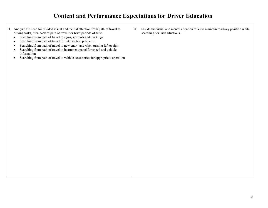| D. Analyze the need for divided visual and mental attention from path of travel to<br>driving tasks, then back to path of travel for brief periods of time.<br>Searching from path of travel to signs, symbols and markings<br>$\bullet$<br>Searching from path of travel for intersection problems<br>$\bullet$<br>Searching from path of travel to new entry lane when turning left or right<br>$\bullet$<br>Searching from path of travel to instrument panel for speed and vehicle<br>$\bullet$<br>information<br>Searching from path of travel to vehicle accessories for appropriate operation<br>$\bullet$ | D. | Divide the visual and mental attention tasks to maintain roadway position while<br>searching for risk situations. |
|-------------------------------------------------------------------------------------------------------------------------------------------------------------------------------------------------------------------------------------------------------------------------------------------------------------------------------------------------------------------------------------------------------------------------------------------------------------------------------------------------------------------------------------------------------------------------------------------------------------------|----|-------------------------------------------------------------------------------------------------------------------|
|                                                                                                                                                                                                                                                                                                                                                                                                                                                                                                                                                                                                                   |    |                                                                                                                   |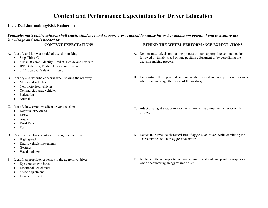| 14.4. Decision-making/Risk Reduction                                                                                                                                                                                       |                                                                                                                                                                                       |  |
|----------------------------------------------------------------------------------------------------------------------------------------------------------------------------------------------------------------------------|---------------------------------------------------------------------------------------------------------------------------------------------------------------------------------------|--|
| Pennsylvania's public schools shall teach, challenge and support every student to realize his or her maximum potential and to acquire the<br>knowledge and skills needed to:                                               |                                                                                                                                                                                       |  |
| <b>CONTENT EXPECTATIONS</b>                                                                                                                                                                                                | <b>BEHIND-THE-WHEEL PERFORMANCE EXPECTATIONS</b>                                                                                                                                      |  |
| A. Identify and know a model of decision-making.<br>Stop-Think-Go<br>$\bullet$<br>SIPDE (Search, Identify, Predict, Decide and Execute)<br>IPDE (Identify, Predict, Decide and Execute)<br>SEE (Search, Evaluate, Execute) | A. Demonstrate a decision-making process through appropriate communication,<br>followed by timely speed or lane position adjustment or by verbalizing the<br>decision-making process. |  |
| Identify and describe concerns when sharing the roadway.<br><b>B.</b><br>Motorized vehicles<br>Non-motorized vehicles<br>Commercial/large vehicles<br>Pedestrians<br>Animals                                               | Demonstrate the appropriate communication, speed and lane position responses<br>В.<br>when encountering other users of the roadway.                                                   |  |
| Identify how emotions affect driver decisions.<br>$\mathbb{C}$ .<br>Depression/Sadness<br>$\bullet$<br>Elation<br>Anger<br>Road Rage<br>Fear                                                                               | Adapt driving strategies to avoid or minimize inappropriate behavior while<br>$C_{\cdot}$<br>driving.                                                                                 |  |
| D. Describe the characteristics of the aggressive driver.<br>High Speed<br>Erratic vehicle movements<br>Gestures<br>Vocal outbursts                                                                                        | Detect and verbalize characteristics of aggressive drivers while exhibiting the<br>D.<br>characteristics of a non-aggressive driver.                                                  |  |
| Identify appropriate responses to the aggressive driver.<br>Е.<br>Eye contact avoidance<br>$\bullet$<br><b>Emotional detachment</b><br>Speed adjustment<br>Lane adjustment                                                 | Implement the appropriate communication, speed and lane position responses<br>Ε.<br>when encountering an aggressive driver.                                                           |  |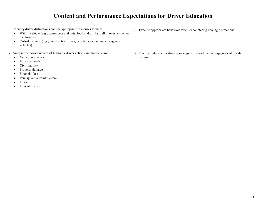| F. Identify driver distractions and the appropriate responses to them.<br>Within vehicle (e.g., passengers and pets, food and drinks, cell phones and other<br>$\bullet$<br>electronics)<br>Outside vehicle (e.g., construction zones, people, accident and emergency<br>$\bullet$<br>vehicles)                 | F. Execute appropriate behaviors when encountering driving distractions.                    |
|-----------------------------------------------------------------------------------------------------------------------------------------------------------------------------------------------------------------------------------------------------------------------------------------------------------------|---------------------------------------------------------------------------------------------|
| G. Analyze the consequences of high-risk driver actions and human error.<br>Vehicular crashes<br>$\bullet$<br>Injury or death<br>$\bullet$<br>Civil liability<br>$\bullet$<br>Property damage<br>$\bullet$<br>Financial loss<br>$\bullet$<br>Pennsylvania Point System<br>Fines<br>Loss of license<br>$\bullet$ | G. Practice reduced-risk driving strategies to avoid the consequences of unsafe<br>driving. |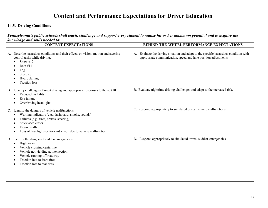| 14.5. Driving Conditions<br>Pennsylvania's public schools shall teach, challenge and support every student to realize his or her maximum potential and to acquire the<br>knowledge and skills needed to:                                                                                      |                                                                                                                                                            |  |
|-----------------------------------------------------------------------------------------------------------------------------------------------------------------------------------------------------------------------------------------------------------------------------------------------|------------------------------------------------------------------------------------------------------------------------------------------------------------|--|
|                                                                                                                                                                                                                                                                                               |                                                                                                                                                            |  |
| A. Describe hazardous conditions and their effects on vision, motion and steering<br>control tasks while driving.<br>Snow $#12$<br>Rain #11<br>Fog<br>Sleet/ice<br>Hydroplaning<br><b>Traction</b> loss                                                                                       | Evaluate the driving situation and adapt to the specific hazardous condition with<br>А.<br>appropriate communication, speed and lane position adjustments. |  |
| Identify challenges of night driving and appropriate responses to them. #10<br>B.<br>Reduced visibility<br>Eye fatigue<br>Overdriving headlights<br>$\bullet$                                                                                                                                 | B. Evaluate nighttime driving challenges and adapt to the increased risk.                                                                                  |  |
| Identify the dangers of vehicle malfunctions.<br>$\mathbb{C}$ .<br>Warning indicators (e.g., dashboard, smoke, sounds)<br>٠<br>Failures (e.g., tires, brakes, steering)<br>Stuck accelerator<br>Engine stalls<br>Loss of headlights or forward vision due to vehicle malfunction<br>$\bullet$ | C. Respond appropriately to simulated or real vehicle malfunctions.                                                                                        |  |
| D. Identify the dangers of sudden emergencies.<br>High water<br>$\bullet$<br>Vehicle crossing centerline<br>$\bullet$<br>Vehicle not yielding at intersection<br>$\bullet$<br>Vehicle running off roadway<br>Traction loss to front tires<br>Traction loss to rear tires                      | Respond appropriately to simulated or real sudden emergencies.<br>D.                                                                                       |  |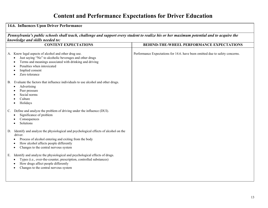| 14.6. Influences Upon Driver Performance<br>Pennsylvania's public schools shall teach, challenge and support every student to realize his or her maximum potential and to acquire the<br>knowledge and skills needed to:                                                                                                               |                                                                              |  |
|----------------------------------------------------------------------------------------------------------------------------------------------------------------------------------------------------------------------------------------------------------------------------------------------------------------------------------------|------------------------------------------------------------------------------|--|
|                                                                                                                                                                                                                                                                                                                                        |                                                                              |  |
| A. Know legal aspects of alcohol and other drug use.<br>Just saying "No" to alcoholic beverages and other drugs<br>Terms and meanings associated with drinking and driving<br>Penalties when intoxicated<br>Implied consent<br>Zero tolerance<br>Evaluate the factors that influence individuals to use alcohol and other drugs.<br>В. | Performance Expectations for 14.6. have been omitted due to safety concerns. |  |
| Advertising<br>Peer pressure<br>Social norms<br>Culture<br>Holidays                                                                                                                                                                                                                                                                    |                                                                              |  |
| Define and analyze the problem of driving under the influence (DUI).<br>$\mathcal{C}$ .<br>Significance of problem<br>Consequences<br>Solutions                                                                                                                                                                                        |                                                                              |  |
| Identify and analyze the physiological and psychological effects of alcohol on the<br>D.<br>driver.<br>Process of alcohol entering and exiting from the body<br>How alcohol affects people differently<br>Changes to the central nervous system                                                                                        |                                                                              |  |
| Identify and analyze the physiological and psychological effects of drugs.<br>Е.<br>Types (i.e., over-the-counter, prescription, controlled substances)<br>How drugs affect people differently<br>Changes to the central nervous system                                                                                                |                                                                              |  |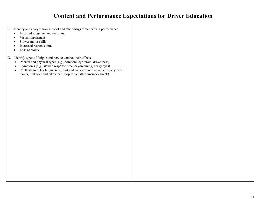- F. Identify and anal yze how alcohol and other drugs affect dri ving performance.
	- Impaired judgment and reasoning
	- Visual impairment
	- Slower motor skills
	- Increased response time
	- Loss of reality
- G. Identify t ypes of fatigue and how to combat t heir effects.
	- Mental and physical types (e.g., boredom, eye strain, drowsiness)
	- Sy mptoms (e.g., slowed response time, day dreaming, heavy eyes)
	- Methods to delay fatigue (e.g., exit and walk around the vehicle every two hours, pull over and take a nap, stop for a bat hroom/snack break)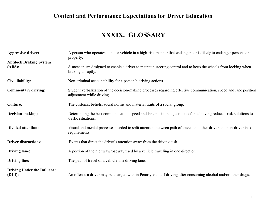#### **XXXIX. GLOSSARY**

| <b>Aggressive driver:</b>                    | A person who operates a motor vehicle in a high-risk manner that endangers or is likely to endanger persons or<br>property.                    |
|----------------------------------------------|------------------------------------------------------------------------------------------------------------------------------------------------|
| <b>Antilock Braking System</b><br>(ABS):     | A mechanism designed to enable a driver to maintain steering control and to keep the wheels from locking when<br>braking abruptly.             |
| Civil liability:                             | Non-criminal accountability for a person's driving actions.                                                                                    |
| <b>Commentary driving:</b>                   | Student verbalization of the decision-making processes regarding effective communication, speed and lane position<br>adjustment while driving. |
| <b>Culture:</b>                              | The customs, beliefs, social norms and material traits of a social group.                                                                      |
| Decision-making:                             | Determining the best communication, speed and lane position adjustments for achieving reduced-risk solutions to<br>traffic situations.         |
| <b>Divided attention:</b>                    | Visual and mental processes needed to split attention between path of travel and other driver and non-driver task<br>requirements.             |
| <b>Driver distractions:</b>                  | Events that direct the driver's attention away from the driving task.                                                                          |
| <b>Driving lane:</b>                         | A portion of the highway/roadway used by a vehicle traveling in one direction.                                                                 |
| <b>Driving line:</b>                         | The path of travel of a vehicle in a driving lane.                                                                                             |
| <b>Driving Under the Influence</b><br>(DUI): | An offense a driver may be charged with in Pennsylvania if driving after consuming alcohol and/or other drugs.                                 |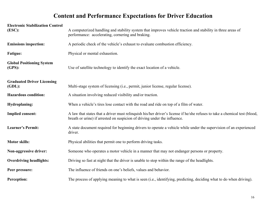| <b>Electronic Stabilization Control</b><br>(ESC): | A computerized handling and stability system that improves vehicle traction and stability in three areas of<br>performance: accelerating, cornering and braking.                                        |
|---------------------------------------------------|---------------------------------------------------------------------------------------------------------------------------------------------------------------------------------------------------------|
| <b>Emissions inspection:</b>                      | A periodic check of the vehicle's exhaust to evaluate combustion efficiency.                                                                                                                            |
| <b>Fatigue:</b>                                   | Physical or mental exhaustion.                                                                                                                                                                          |
| <b>Global Positioning System</b><br>(GPS):        | Use of satellite technology to identify the exact location of a vehicle.                                                                                                                                |
| <b>Graduated Driver Licensing</b><br>$(GDL)$ :    | Multi-stage system of licensing (i.e., permit, junior license, regular license).                                                                                                                        |
| <b>Hazardous condition:</b>                       | A situation involving reduced visibility and/or traction.                                                                                                                                               |
| <b>Hydroplaning:</b>                              | When a vehicle's tires lose contact with the road and ride on top of a film of water.                                                                                                                   |
| <b>Implied consent:</b>                           | A law that states that a driver must relinquish his/her driver's license if he/she refuses to take a chemical test (blood,<br>breath or urine) if arrested on suspicion of driving under the influence. |
| <b>Learner's Permit:</b>                          | A state document required for beginning drivers to operate a vehicle while under the supervision of an experienced<br>driver.                                                                           |
| <b>Motor skills:</b>                              | Physical abilities that permit one to perform driving tasks.                                                                                                                                            |
| Non-aggressive driver:                            | Someone who operates a motor vehicle in a manner that may not endanger persons or property.                                                                                                             |
| <b>Overdriving headlights:</b>                    | Driving so fast at night that the driver is unable to stop within the range of the headlights.                                                                                                          |
| Peer pressure:                                    | The influence of friends on one's beliefs, values and behavior.                                                                                                                                         |
| <b>Perception:</b>                                | The process of applying meaning to what is seen (i.e., identifying, predicting, deciding what to do when driving).                                                                                      |